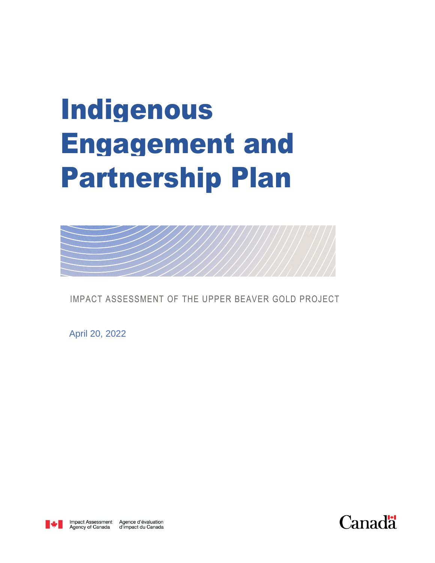## Indigenous Engagement and Partnership Plan



IMPACT ASSESSMENT OF THE UPPER BEAVER GOLD PROJECT

April 20, 2022



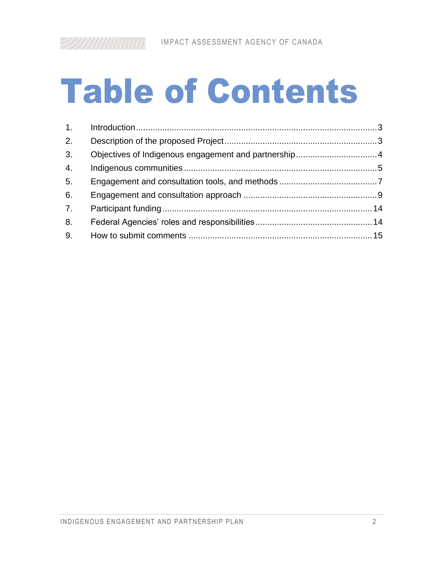# Table of Contents

| 2. |  |
|----|--|
| 3. |  |
| 4. |  |
| 5. |  |
| 6. |  |
| 7. |  |
| 8. |  |
| 9. |  |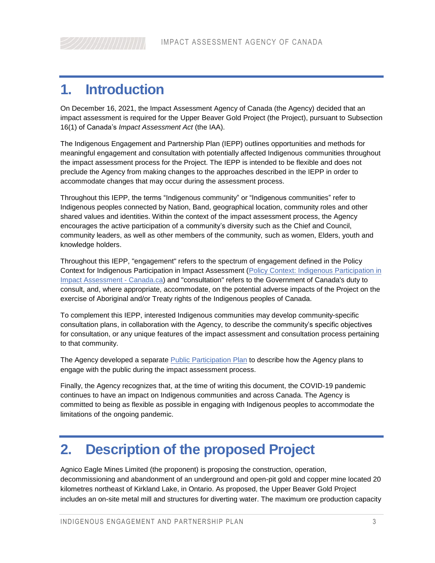## <span id="page-2-0"></span>**1. Introduction**

On December 16, 2021, the Impact Assessment Agency of Canada (the Agency) decided that an impact assessment is required for the Upper Beaver Gold Project (the Project), pursuant to Subsection 16(1) of Canada's *Impact Assessment Act* (the IAA).

The Indigenous Engagement and Partnership Plan (IEPP) outlines opportunities and methods for meaningful engagement and consultation with potentially affected Indigenous communities throughout the impact assessment process for the Project. The IEPP is intended to be flexible and does not preclude the Agency from making changes to the approaches described in the IEPP in order to accommodate changes that may occur during the assessment process.

Throughout this IEPP, the terms "Indigenous community" or "Indigenous communities" refer to Indigenous peoples connected by Nation, Band, geographical location, community roles and other shared values and identities. Within the context of the impact assessment process, the Agency encourages the active participation of a community's diversity such as the Chief and Council, community leaders, as well as other members of the community, such as women, Elders, youth and knowledge holders.

Throughout this IEPP, "engagement" refers to the spectrum of engagement defined in the Policy Context for Indigenous Participation in Impact Assessment [\(Policy Context: Indigenous Participation in](https://www.canada.ca/en/impact-assessment-agency/services/policy-guidance/practitioners-guide-impact-assessment-act/policy-indigenous-participation-ia.html)  [Impact Assessment -](https://www.canada.ca/en/impact-assessment-agency/services/policy-guidance/practitioners-guide-impact-assessment-act/policy-indigenous-participation-ia.html) Canada.ca) and "consultation" refers to the Government of Canada's duty to consult, and, where appropriate, accommodate, on the potential adverse impacts of the Project on the exercise of Aboriginal and/or Treaty rights of the Indigenous peoples of Canada.

To complement this IEPP, interested Indigenous communities may develop community-specific consultation plans, in collaboration with the Agency, to describe the community's specific objectives for consultation, or any unique features of the impact assessment and consultation process pertaining to that community.

The Agency developed a separate [Public Participation Plan](http://iaac-aeic.gc.ca/050/evaluations/document/143582?culture=en-CA) to describe how the Agency plans to engage with the public during the impact assessment process.

Finally, the Agency recognizes that, at the time of writing this document, the COVID-19 pandemic continues to have an impact on Indigenous communities and across Canada. The Agency is committed to being as flexible as possible in engaging with Indigenous peoples to accommodate the limitations of the ongoing pandemic.

## <span id="page-2-1"></span>**2. Description of the proposed Project**

Agnico Eagle Mines Limited (the proponent) is proposing the construction, operation, decommissioning and abandonment of an underground and open-pit gold and copper mine located 20 kilometres northeast of Kirkland Lake, in Ontario. As proposed, the Upper Beaver Gold Project includes an on-site metal mill and structures for diverting water. The maximum ore production capacity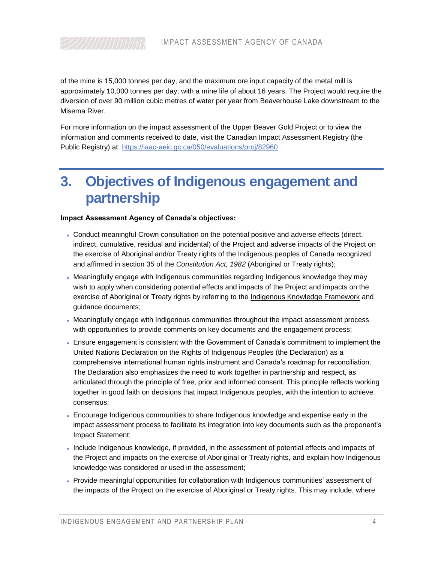of the mine is 15,000 tonnes per day, and the maximum ore input capacity of the metal mill is approximately 10,000 tonnes per day, with a mine life of about 16 years. The Project would require the diversion of over 90 million cubic metres of water per year from Beaverhouse Lake downstream to the Misema River.

For more information on the impact assessment of the Upper Beaver Gold Project or to view the information and comments received to date, visit the Canadian Impact Assessment Registry (the Public Registry) at:<https://iaac-aeic.gc.ca/050/evaluations/proj/82960>

## <span id="page-3-0"></span>**3. Objectives of Indigenous engagement and partnership**

#### **Impact Assessment Agency of Canada's objectives:**

- Conduct meaningful Crown consultation on the potential positive and adverse effects (direct, indirect, cumulative, residual and incidental) of the Project and adverse impacts of the Project on the exercise of Aboriginal and/or Treaty rights of the Indigenous peoples of Canada recognized and affirmed in section 35 of the *Constitution Act, 1982* (Aboriginal or Treaty rights);
- Meaningfully engage with Indigenous communities regarding Indigenous knowledge they may wish to apply when considering potential effects and impacts of the Project and impacts on the exercise of Aboriginal or Treaty rights by referring to the [Indigenous Knowledge Framework](https://www.canada.ca/en/impact-assessment-agency/advisory/advisory-groups/indigenous-advisory-committee/principles-development-indigenous-knowledge-policy-framework.html) and guidance documents;
- Meaningfully engage with Indigenous communities throughout the impact assessment process with opportunities to provide comments on key documents and the engagement process;
- Ensure engagement is consistent with the Government of Canada's commitment to implement the United Nations Declaration on the Rights of Indigenous Peoples (the Declaration) as a comprehensive international human rights instrument and Canada's roadmap for reconciliation. The Declaration also emphasizes the need to work together in partnership and respect, as articulated through the principle of free, prior and informed consent. This principle reflects working together in good faith on decisions that impact Indigenous peoples, with the intention to achieve consensus;
- Encourage Indigenous communities to share Indigenous knowledge and expertise early in the impact assessment process to facilitate its integration into key documents such as the proponent's Impact Statement;
- Include Indigenous knowledge, if provided, in the assessment of potential effects and impacts of the Project and impacts on the exercise of Aboriginal or Treaty rights, and explain how Indigenous knowledge was considered or used in the assessment;
- Provide meaningful opportunities for collaboration with Indigenous communities' assessment of the impacts of the Project on the exercise of Aboriginal or Treaty rights. This may include, where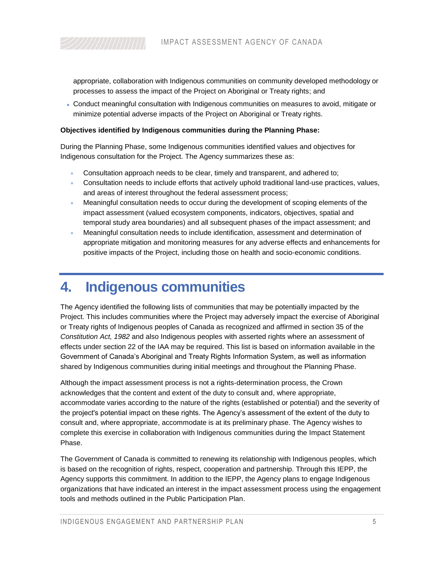appropriate, collaboration with Indigenous communities on community developed methodology or processes to assess the impact of the Project on Aboriginal or Treaty rights; and

 Conduct meaningful consultation with Indigenous communities on measures to avoid, mitigate or minimize potential adverse impacts of the Project on Aboriginal or Treaty rights.

#### **Objectives identified by Indigenous communities during the Planning Phase:**

During the Planning Phase, some Indigenous communities identified values and objectives for Indigenous consultation for the Project. The Agency summarizes these as:

- Consultation approach needs to be clear, timely and transparent, and adhered to;
- Consultation needs to include efforts that actively uphold traditional land-use practices, values, and areas of interest throughout the federal assessment process;
- Meaningful consultation needs to occur during the development of scoping elements of the impact assessment (valued ecosystem components, indicators, objectives, spatial and temporal study area boundaries) and all subsequent phases of the impact assessment; and
- Meaningful consultation needs to include identification, assessment and determination of appropriate mitigation and monitoring measures for any adverse effects and enhancements for positive impacts of the Project, including those on health and socio-economic conditions.

### <span id="page-4-0"></span>**4. Indigenous communities**

The Agency identified the following lists of communities that may be potentially impacted by the Project. This includes communities where the Project may adversely impact the exercise of Aboriginal or Treaty rights of Indigenous peoples of Canada as recognized and affirmed in section 35 of the *Constitution Act, 1982* and also Indigenous peoples with asserted rights where an assessment of effects under section 22 of the IAA may be required. This list is based on information available in the Government of Canada's Aboriginal and Treaty Rights Information System, as well as information shared by Indigenous communities during initial meetings and throughout the Planning Phase.

Although the impact assessment process is not a rights-determination process, the Crown acknowledges that the content and extent of the duty to consult and, where appropriate, accommodate varies according to the nature of the rights (established or potential) and the severity of the project's potential impact on these rights. The Agency's assessment of the extent of the duty to consult and, where appropriate, accommodate is at its preliminary phase. The Agency wishes to complete this exercise in collaboration with Indigenous communities during the Impact Statement Phase.

The Government of Canada is committed to renewing its relationship with Indigenous peoples, which is based on the recognition of rights, respect, cooperation and partnership. Through this IEPP, the Agency supports this commitment. In addition to the IEPP, the Agency plans to engage Indigenous organizations that have indicated an interest in the impact assessment process using the engagement tools and methods outlined in the Public Participation Plan.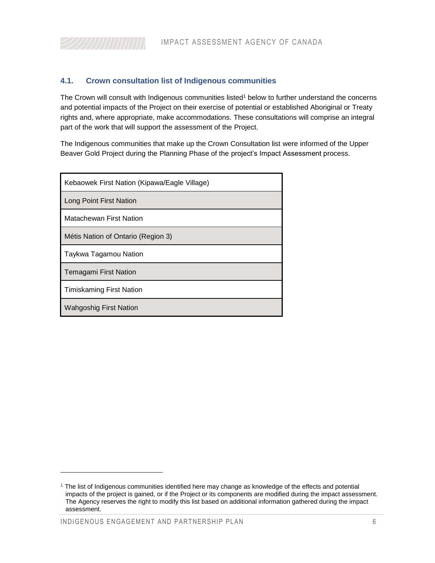#### **4.1. Crown consultation list of Indigenous communities**

The Crown will consult with Indigenous communities listed<sup>1</sup> below to further understand the concerns and potential impacts of the Project on their exercise of potential or established Aboriginal or Treaty rights and, where appropriate, make accommodations. These consultations will comprise an integral part of the work that will support the assessment of the Project.

The Indigenous communities that make up the Crown Consultation list were informed of the Upper Beaver Gold Project during the Planning Phase of the project's Impact Assessment process.

| Kebaowek First Nation (Kipawa/Eagle Village) |  |  |
|----------------------------------------------|--|--|
| Long Point First Nation                      |  |  |
| Matachewan First Nation                      |  |  |
| Métis Nation of Ontario (Region 3)           |  |  |
| Taykwa Tagamou Nation                        |  |  |
| <b>Temagami First Nation</b>                 |  |  |
| <b>Timiskaming First Nation</b>              |  |  |
| <b>Wahgoshig First Nation</b>                |  |  |

l

 $1$  The list of Indigenous communities identified here may change as knowledge of the effects and potential impacts of the project is gained, or if the Project or its components are modified during the impact assessment. The Agency reserves the right to modify this list based on additional information gathered during the impact assessment.

INDIGENOUS ENGAGEMENT AND PARTNERSHIP PLAN 6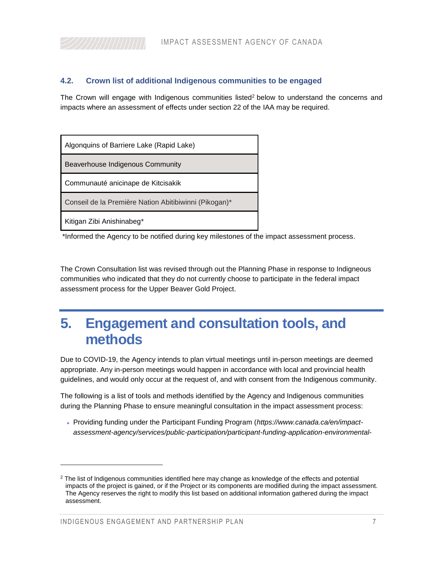#### **4.2. Crown list of additional Indigenous communities to be engaged**

The Crown will engage with Indigenous communities listed<sup>2</sup> below to understand the concerns and impacts where an assessment of effects under section 22 of the IAA may be required.

| Algonguins of Barriere Lake (Rapid Lake)              |
|-------------------------------------------------------|
| Beaverhouse Indigenous Community                      |
| Communauté anicinape de Kitcisakik                    |
| Conseil de la Première Nation Abitibiwinni (Pikogan)* |
| Kitigan Zibi Anishinabeg*                             |

\*Informed the Agency to be notified during key milestones of the impact assessment process.

The Crown Consultation list was revised through out the Planning Phase in response to Indigneous communities who indicated that they do not currently choose to participate in the federal impact assessment process for the Upper Beaver Gold Project.

## <span id="page-6-0"></span>**5. Engagement and consultation tools, and methods**

Due to COVID-19, the Agency intends to plan virtual meetings until in-person meetings are deemed appropriate. Any in-person meetings would happen in accordance with local and provincial health guidelines, and would only occur at the request of, and with consent from the Indigenous community.

The following is a list of tools and methods identified by the Agency and Indigenous communities during the Planning Phase to ensure meaningful consultation in the impact assessment process:

 Providing funding under the Participant Funding Program (*https://www.canada.ca/en/impactassessment-agency/services/public-participation/participant-funding-application-environmental-*

l

 $2$  The list of Indigenous communities identified here may change as knowledge of the effects and potential impacts of the project is gained, or if the Project or its components are modified during the impact assessment. The Agency reserves the right to modify this list based on additional information gathered during the impact assessment.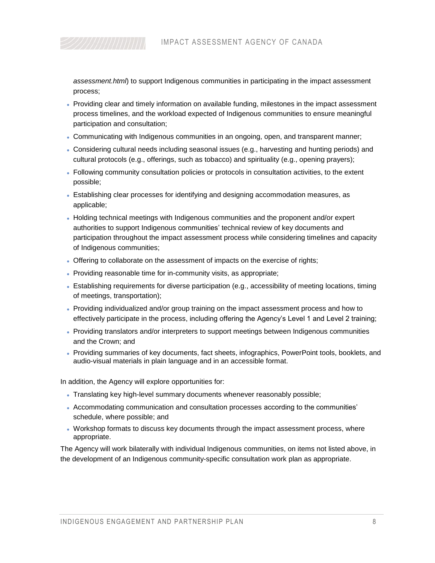*assessment.html*) to support Indigenous communities in participating in the impact assessment process;

- Providing clear and timely information on available funding, milestones in the impact assessment process timelines, and the workload expected of Indigenous communities to ensure meaningful participation and consultation;
- Communicating with Indigenous communities in an ongoing, open, and transparent manner;
- Considering cultural needs including seasonal issues (e.g., harvesting and hunting periods) and cultural protocols (e.g., offerings, such as tobacco) and spirituality (e.g., opening prayers);
- Following community consultation policies or protocols in consultation activities, to the extent possible;
- Establishing clear processes for identifying and designing accommodation measures, as applicable;
- Holding technical meetings with Indigenous communities and the proponent and/or expert authorities to support Indigenous communities' technical review of key documents and participation throughout the impact assessment process while considering timelines and capacity of Indigenous communities;
- Offering to collaborate on the assessment of impacts on the exercise of rights;
- Providing reasonable time for in-community visits, as appropriate;
- Establishing requirements for diverse participation (e.g., accessibility of meeting locations, timing of meetings, transportation);
- Providing individualized and/or group training on the impact assessment process and how to effectively participate in the process, including offering the Agency's Level 1 and Level 2 training;
- Providing translators and/or interpreters to support meetings between Indigenous communities and the Crown; and
- Providing summaries of key documents, fact sheets, infographics, PowerPoint tools, booklets, and audio-visual materials in plain language and in an accessible format.

In addition, the Agency will explore opportunities for:

- Translating key high-level summary documents whenever reasonably possible;
- Accommodating communication and consultation processes according to the communities' schedule, where possible; and
- Workshop formats to discuss key documents through the impact assessment process, where appropriate.

The Agency will work bilaterally with individual Indigenous communities, on items not listed above, in the development of an Indigenous community-specific consultation work plan as appropriate.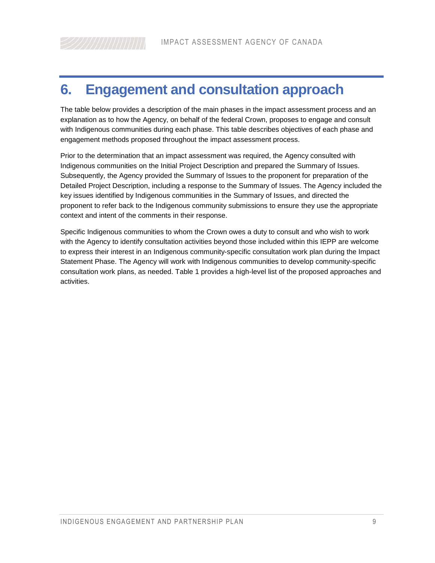## <span id="page-8-0"></span>**6. Engagement and consultation approach**

The table below provides a description of the main phases in the impact assessment process and an explanation as to how the Agency, on behalf of the federal Crown, proposes to engage and consult with Indigenous communities during each phase. This table describes objectives of each phase and engagement methods proposed throughout the impact assessment process.

Prior to the determination that an impact assessment was required, the Agency consulted with Indigenous communities on the Initial Project Description and prepared the Summary of Issues. Subsequently, the Agency provided the Summary of Issues to the proponent for preparation of the Detailed Project Description, including a response to the Summary of Issues. The Agency included the key issues identified by Indigenous communities in the Summary of Issues, and directed the proponent to refer back to the Indigenous community submissions to ensure they use the appropriate context and intent of the comments in their response.

Specific Indigenous communities to whom the Crown owes a duty to consult and who wish to work with the Agency to identify consultation activities beyond those included within this IEPP are welcome to express their interest in an Indigenous community-specific consultation work plan during the Impact Statement Phase. The Agency will work with Indigenous communities to develop community-specific consultation work plans, as needed. Table 1 provides a high-level list of the proposed approaches and activities.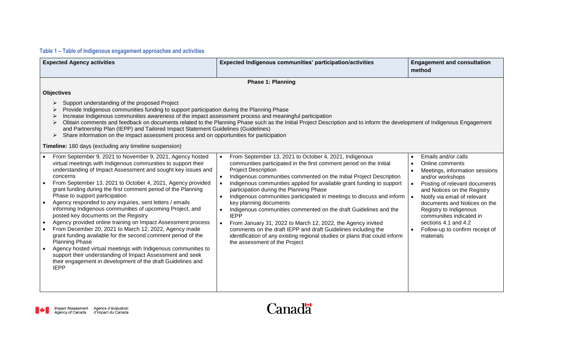#### **Table 1 – Table of Indigenous engagement approaches and activities**

| <b>Expected Agency activities</b>                                                                                                                                                                                                                                                                                                                                                                                                                                                                                                                                                                                                                                                                                                                                                                                                                                                                                                                                       | Expected Indigenous communities' participation/activities                                                                                                                                                                                                                                                                                                                                                                                                                                                                                                                                                                                                                                                                                                                                                             | <b>Engagement and consultation</b><br>method                                                                                                                                                                                                                                                                                                                            |  |  |  |
|-------------------------------------------------------------------------------------------------------------------------------------------------------------------------------------------------------------------------------------------------------------------------------------------------------------------------------------------------------------------------------------------------------------------------------------------------------------------------------------------------------------------------------------------------------------------------------------------------------------------------------------------------------------------------------------------------------------------------------------------------------------------------------------------------------------------------------------------------------------------------------------------------------------------------------------------------------------------------|-----------------------------------------------------------------------------------------------------------------------------------------------------------------------------------------------------------------------------------------------------------------------------------------------------------------------------------------------------------------------------------------------------------------------------------------------------------------------------------------------------------------------------------------------------------------------------------------------------------------------------------------------------------------------------------------------------------------------------------------------------------------------------------------------------------------------|-------------------------------------------------------------------------------------------------------------------------------------------------------------------------------------------------------------------------------------------------------------------------------------------------------------------------------------------------------------------------|--|--|--|
|                                                                                                                                                                                                                                                                                                                                                                                                                                                                                                                                                                                                                                                                                                                                                                                                                                                                                                                                                                         | <b>Phase 1: Planning</b>                                                                                                                                                                                                                                                                                                                                                                                                                                                                                                                                                                                                                                                                                                                                                                                              |                                                                                                                                                                                                                                                                                                                                                                         |  |  |  |
| <b>Objectives</b><br>Support understanding of the proposed Project<br>➤<br>Provide Indigenous communities funding to support participation during the Planning Phase<br>➤<br>Increase Indigenous communities awareness of the impact assessment process and meaningful participation<br>➤<br>Obtain comments and feedback on documents related to the Planning Phase such as the Initial Project Description and to inform the development of Indigenous Engagement<br>and Partnership Plan (IEPP) and Tailored Impact Statement Guidelines (Guidelines)<br>Share information on the impact assessment process and on opportunities for participation<br>➤<br>Timeline: 180 days (excluding any timeline suspension)                                                                                                                                                                                                                                                    |                                                                                                                                                                                                                                                                                                                                                                                                                                                                                                                                                                                                                                                                                                                                                                                                                       |                                                                                                                                                                                                                                                                                                                                                                         |  |  |  |
| From September 9, 2021 to November 9, 2021, Agency hosted<br>virtual meetings with Indigenous communities to support their<br>understanding of Impact Assessment and sought key issues and<br>concerns<br>From September 13, 2021 to October 4, 2021, Agency provided<br>grant funding during the first comment period of the Planning<br>Phase to support participation<br>Agency responded to any inquiries, sent letters / emails<br>informing Indigenous communities of upcoming Project, and<br>posted key documents on the Registry<br>Agency provided online training on Impact Assessment process<br>From December 20, 2021 to March 12, 2022, Agency made<br>grant funding available for the second comment period of the<br><b>Planning Phase</b><br>Agency hosted virtual meetings with Indigenous communities to<br>support their understanding of Impact Assessment and seek<br>their engagement in development of the draft Guidelines and<br><b>IEPP</b> | From September 13, 2021 to October 4, 2021, Indigenous<br>$\bullet$<br>communities participated in the first comment period on the Initial<br><b>Project Description</b><br>Indigenous communities commented on the Initial Project Description<br>Indigenous communities applied for available grant funding to support<br>participation during the Planning Phase<br>Indigenous communities participated in meetings to discuss and inform<br>$\bullet$<br>key planning documents<br>Indigenous communities commented on the draft Guidelines and the<br><b>IEPP</b><br>From January 31, 2022 to March 12, 2022, the Agency invited<br>comments on the draft IEPP and draft Guidelines including the<br>identification of any existing regional studies or plans that could inform<br>the assessment of the Project | Emails and/or calls<br>Online comments<br>Meetings, information sessions<br>and/or workshops<br>Posting of relevant documents<br>$\bullet$<br>and Notices on the Registry<br>Notify via email of relevant<br>documents and Notices on the<br>Registry to Indigenous<br>communities indicated in<br>sections 4.1 and 4.2<br>Follow-up to confirm receipt of<br>materials |  |  |  |

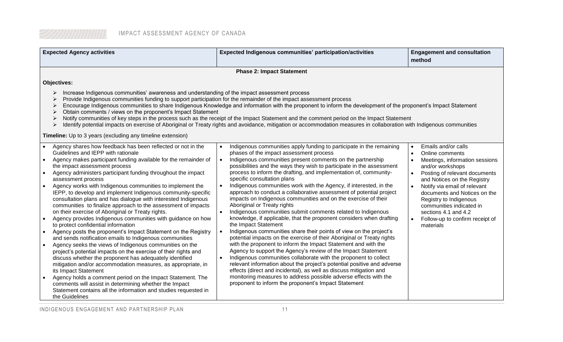| <b>Expected Agency activities</b>                                                                                                                                                                                                                                                                                                                                                                                                                                                                                                                                                                                                                                                                                                                                                                                                                                                                                                                                                                                                                                                                                                                                                                                                                                                                                                                | Expected Indigenous communities' participation/activities                                                                                                                                                                                                                                                                                                                                                                                                                                                                                                                                                                                                                                                                                                                                                                                                                                                                                                                                                                                                                                                                                                                                                                                                                                                                                                                                                                              | <b>Engagement and consultation</b><br>method                                                                                                                                                                                                                                                                                                                                                      |  |
|--------------------------------------------------------------------------------------------------------------------------------------------------------------------------------------------------------------------------------------------------------------------------------------------------------------------------------------------------------------------------------------------------------------------------------------------------------------------------------------------------------------------------------------------------------------------------------------------------------------------------------------------------------------------------------------------------------------------------------------------------------------------------------------------------------------------------------------------------------------------------------------------------------------------------------------------------------------------------------------------------------------------------------------------------------------------------------------------------------------------------------------------------------------------------------------------------------------------------------------------------------------------------------------------------------------------------------------------------|----------------------------------------------------------------------------------------------------------------------------------------------------------------------------------------------------------------------------------------------------------------------------------------------------------------------------------------------------------------------------------------------------------------------------------------------------------------------------------------------------------------------------------------------------------------------------------------------------------------------------------------------------------------------------------------------------------------------------------------------------------------------------------------------------------------------------------------------------------------------------------------------------------------------------------------------------------------------------------------------------------------------------------------------------------------------------------------------------------------------------------------------------------------------------------------------------------------------------------------------------------------------------------------------------------------------------------------------------------------------------------------------------------------------------------------|---------------------------------------------------------------------------------------------------------------------------------------------------------------------------------------------------------------------------------------------------------------------------------------------------------------------------------------------------------------------------------------------------|--|
|                                                                                                                                                                                                                                                                                                                                                                                                                                                                                                                                                                                                                                                                                                                                                                                                                                                                                                                                                                                                                                                                                                                                                                                                                                                                                                                                                  | <b>Phase 2: Impact Statement</b>                                                                                                                                                                                                                                                                                                                                                                                                                                                                                                                                                                                                                                                                                                                                                                                                                                                                                                                                                                                                                                                                                                                                                                                                                                                                                                                                                                                                       |                                                                                                                                                                                                                                                                                                                                                                                                   |  |
| <b>Objectives:</b><br>Increase Indigenous communities' awareness and understanding of the impact assessment process<br>➤<br>Provide Indigenous communities funding to support participation for the remainder of the impact assessment process<br>Encourage Indigenous communities to share Indigenous Knowledge and information with the proponent to inform the development of the proponent's Impact Statement<br>➤<br>Obtain comments / views on the proponent's Impact Statement<br>➤<br>Notify communities of key steps in the process such as the receipt of the Impact Statement and the comment period on the Impact Statement<br>➤<br>Identify potential impacts on exercise of Aboriginal or Treaty rights and avoidance, mitigation or accommodation measures in collaboration with Indigenous communities<br>➤<br><b>Timeline:</b> Up to 3 years (excluding any timeline extension)                                                                                                                                                                                                                                                                                                                                                                                                                                                 |                                                                                                                                                                                                                                                                                                                                                                                                                                                                                                                                                                                                                                                                                                                                                                                                                                                                                                                                                                                                                                                                                                                                                                                                                                                                                                                                                                                                                                        |                                                                                                                                                                                                                                                                                                                                                                                                   |  |
| Agency shares how feedback has been reflected or not in the<br>Guidelines and IEPP with rationale<br>Agency makes participant funding available for the remainder of<br>the impact assessment process<br>Agency administers participant funding throughout the impact<br>assessment process<br>Agency works with Indigenous communities to implement the<br>IEPP, to develop and implement Indigenous community-specific<br>consultation plans and has dialogue with interested Indigenous<br>communities to finalize approach to the assessment of impacts<br>on their exercise of Aboriginal or Treaty rights.<br>Agency provides Indigenous communities with guidance on how<br>to protect confidential information<br>Agency posts the proponent's Impact Statement on the Registry<br>and sends notification emails to Indigenous communities<br>Agency seeks the views of Indigenous communities on the<br>project's potential impacts on the exercise of their rights and<br>discuss whether the proponent has adequately identified<br>mitigation and/or accommodation measures, as appropriate, in<br>its Impact Statement<br>Agency holds a comment period on the Impact Statement. The<br>comments will assist in determining whether the Impact<br>Statement contains all the information and studies requested in<br>the Guidelines | Indigenous communities apply funding to participate in the remaining<br>phases of the impact assessment process<br>Indigenous communities present comments on the partnership<br>$\bullet$<br>possibilities and the ways they wish to participate in the assessment<br>process to inform the drafting, and implementation of, community-<br>specific consultation plans<br>Indigenous communities work with the Agency, if interested, in the<br>approach to conduct a collaborative assessment of potential project<br>impacts on Indigenous communities and on the exercise of their<br>Aboriginal or Treaty rights<br>Indigenous communities submit comments related to Indigenous<br>knowledge, if applicable, that the proponent considers when drafting<br>the Impact Statement<br>Indigenous communities share their points of view on the project's<br>potential impacts on the exercise of their Aboriginal or Treaty rights<br>with the proponent to inform the Impact Statement and with the<br>Agency to support the Agency's review of the Impact Statement<br>Indigenous communities collaborate with the proponent to collect<br>$\bullet$<br>relevant information about the project's potential positive and adverse<br>effects (direct and incidental), as well as discuss mitigation and<br>monitoring measures to address possible adverse effects with the<br>proponent to inform the proponent's Impact Statement | Emails and/or calls<br>$\bullet$<br>Online comments<br>Meetings, information sessions<br>and/or workshops<br>Posting of relevant documents<br>$\bullet$<br>and Notices on the Registry<br>Notify via email of relevant<br>$\bullet$<br>documents and Notices on the<br>Registry to Indigenous<br>communities indicated in<br>sections 4.1 and 4.2<br>Follow-up to confirm receipt of<br>materials |  |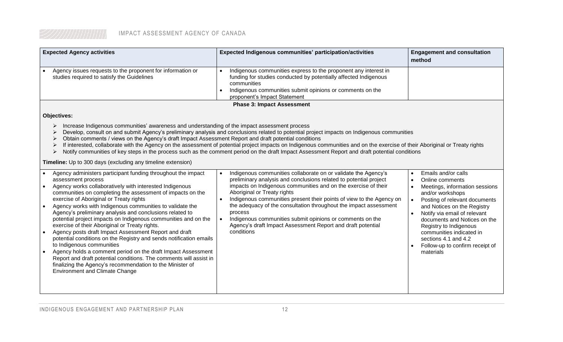| <b>Expected Agency activities</b> |                                                                                                          |  | <b>Expected Indigenous communities' participation/activities</b>                                                                                                                                                                                | <b>Engagement and consultation</b><br>method |
|-----------------------------------|----------------------------------------------------------------------------------------------------------|--|-------------------------------------------------------------------------------------------------------------------------------------------------------------------------------------------------------------------------------------------------|----------------------------------------------|
|                                   | Agency issues requests to the proponent for information or<br>studies required to satisfy the Guidelines |  | Indigenous communities express to the proponent any interest in<br>funding for studies conducted by potentially affected Indigenous<br>communities<br>Indigenous communities submit opinions or comments on the<br>proponent's Impact Statement |                                              |
| <b>Phase 3: Impact Assessment</b> |                                                                                                          |  |                                                                                                                                                                                                                                                 |                                              |

#### **Objectives:**

- $\triangleright$  Increase Indigenous communities' awareness and understanding of the impact assessment process
- ▶ Develop, consult on and submit Agency's preliminary analysis and conclusions related to potential project impacts on Indigenous communities
- Obtain comments / views on the Agency's draft Impact Assessment Report and draft potential conditions
- ▶ If interested, collaborate with the Agency on the assessment of potential project impacts on Indigenous communities and on the exercise of their Aboriginal or Treaty rights
- ▶ Notify communities of key steps in the process such as the comment period on the draft Impact Assessment Report and draft potential conditions

**Timeline:** Up to 300 days (excluding any timeline extension)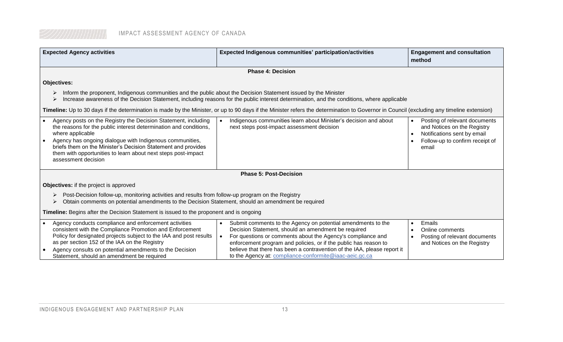| <b>Expected Agency activities</b>                                                                                                                                                                                                                                                                                                                                                         | Expected Indigenous communities' participation/activities                                                                                                                                                                                                                                                                                                                                                  | <b>Engagement and consultation</b><br>method                                                                                                         |  |  |
|-------------------------------------------------------------------------------------------------------------------------------------------------------------------------------------------------------------------------------------------------------------------------------------------------------------------------------------------------------------------------------------------|------------------------------------------------------------------------------------------------------------------------------------------------------------------------------------------------------------------------------------------------------------------------------------------------------------------------------------------------------------------------------------------------------------|------------------------------------------------------------------------------------------------------------------------------------------------------|--|--|
|                                                                                                                                                                                                                                                                                                                                                                                           | <b>Phase 4: Decision</b>                                                                                                                                                                                                                                                                                                                                                                                   |                                                                                                                                                      |  |  |
| <b>Objectives:</b>                                                                                                                                                                                                                                                                                                                                                                        |                                                                                                                                                                                                                                                                                                                                                                                                            |                                                                                                                                                      |  |  |
| Inform the proponent, Indigenous communities and the public about the Decision Statement issued by the Minister<br>Increase awareness of the Decision Statement, including reasons for the public interest determination, and the conditions, where applicable                                                                                                                            |                                                                                                                                                                                                                                                                                                                                                                                                            |                                                                                                                                                      |  |  |
|                                                                                                                                                                                                                                                                                                                                                                                           | Timeline: Up to 30 days if the determination is made by the Minister, or up to 90 days if the Minister refers the determination to Governor in Council (excluding any timeline extension)                                                                                                                                                                                                                  |                                                                                                                                                      |  |  |
| Agency posts on the Registry the Decision Statement, including<br>$\bullet$<br>the reasons for the public interest determination and conditions,<br>where applicable<br>Agency has ongoing dialogue with Indigenous communities,<br>briefs them on the Minister's Decision Statement and provides<br>them with opportunities to learn about next steps post-impact<br>assessment decision | Indigenous communities learn about Minister's decision and about<br>$\bullet$<br>next steps post-impact assessment decision                                                                                                                                                                                                                                                                                | Posting of relevant documents<br>$\bullet$<br>and Notices on the Registry<br>Notifications sent by email<br>Follow-up to confirm receipt of<br>email |  |  |
|                                                                                                                                                                                                                                                                                                                                                                                           | <b>Phase 5: Post-Decision</b>                                                                                                                                                                                                                                                                                                                                                                              |                                                                                                                                                      |  |  |
| Objectives: if the project is approved                                                                                                                                                                                                                                                                                                                                                    |                                                                                                                                                                                                                                                                                                                                                                                                            |                                                                                                                                                      |  |  |
| Post-Decision follow-up, monitoring activities and results from follow-up program on the Registry<br>Obtain comments on potential amendments to the Decision Statement, should an amendment be required                                                                                                                                                                                   |                                                                                                                                                                                                                                                                                                                                                                                                            |                                                                                                                                                      |  |  |
| Timeline: Begins after the Decision Statement is issued to the proponent and is ongoing                                                                                                                                                                                                                                                                                                   |                                                                                                                                                                                                                                                                                                                                                                                                            |                                                                                                                                                      |  |  |
| Agency conducts compliance and enforcement activities<br>$\bullet$<br>consistent with the Compliance Promotion and Enforcement<br>Policy for designated projects subject to the IAA and post results<br>as per section 152 of the IAA on the Registry<br>Agency consults on potential amendments to the Decision<br>Statement, should an amendment be required                            | Submit comments to the Agency on potential amendments to the<br>$\bullet$<br>Decision Statement, should an amendment be required<br>For questions or comments about the Agency's compliance and<br>enforcement program and policies, or if the public has reason to<br>believe that there has been a contravention of the IAA, please report it<br>to the Agency at: compliance-conformite@iaac-aeic.gc.ca | Emails<br>$\bullet$<br>Online comments<br>$\bullet$<br>Posting of relevant documents<br>and Notices on the Registry                                  |  |  |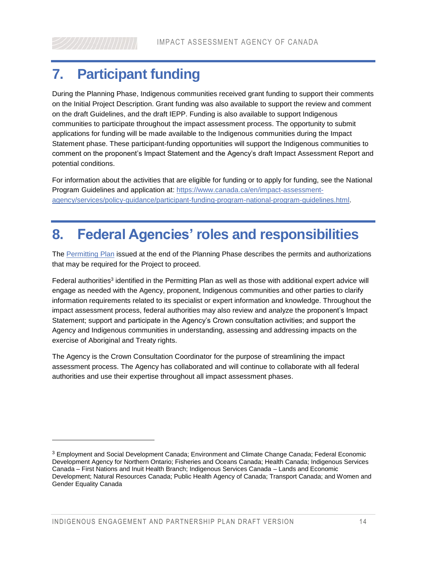## <span id="page-13-0"></span>**7. Participant funding**

During the Planning Phase, Indigenous communities received grant funding to support their comments on the Initial Project Description. Grant funding was also available to support the review and comment on the draft Guidelines, and the draft IEPP. Funding is also available to support Indigenous communities to participate throughout the impact assessment process. The opportunity to submit applications for funding will be made available to the Indigenous communities during the Impact Statement phase. These participant-funding opportunities will support the Indigenous communities to comment on the proponent's Impact Statement and the Agency's draft Impact Assessment Report and potential conditions.

For information about the activities that are eligible for funding or to apply for funding, see the National Program Guidelines and application at: [https://www.canada.ca/en/impact-assessment](https://www.canada.ca/en/impact-assessment-agency/services/policy-guidance/participant-funding-program-national-program-guidelines.html)[agency/services/policy-guidance/participant-funding-program-national-program-guidelines.html.](https://www.canada.ca/en/impact-assessment-agency/services/policy-guidance/participant-funding-program-national-program-guidelines.html)

## <span id="page-13-1"></span>**8. Federal Agencies' roles and responsibilities**

The [Permitting Plan](http://iaac-aeic.gc.ca/050/evaluations/document/143583?culture=en-CA) issued at the end of the Planning Phase describes the permits and authorizations that may be required for the Project to proceed.

Federal authorities<sup>3</sup> identified in the Permitting Plan as well as those with additional expert advice will engage as needed with the Agency, proponent, Indigenous communities and other parties to clarify information requirements related to its specialist or expert information and knowledge. Throughout the impact assessment process, federal authorities may also review and analyze the proponent's Impact Statement; support and participate in the Agency's Crown consultation activities; and support the Agency and Indigenous communities in understanding, assessing and addressing impacts on the exercise of Aboriginal and Treaty rights.

The Agency is the Crown Consultation Coordinator for the purpose of streamlining the impact assessment process. The Agency has collaborated and will continue to collaborate with all federal authorities and use their expertise throughout all impact assessment phases.

 $\overline{a}$ 

 $3$  Employment and Social Development Canada; Environment and Climate Change Canada; Federal Economic Development Agency for Northern Ontario; Fisheries and Oceans Canada; Health Canada; Indigenous Services Canada – First Nations and Inuit Health Branch; Indigenous Services Canada – Lands and Economic Development; Natural Resources Canada; Public Health Agency of Canada; Transport Canada; and Women and Gender Equality Canada